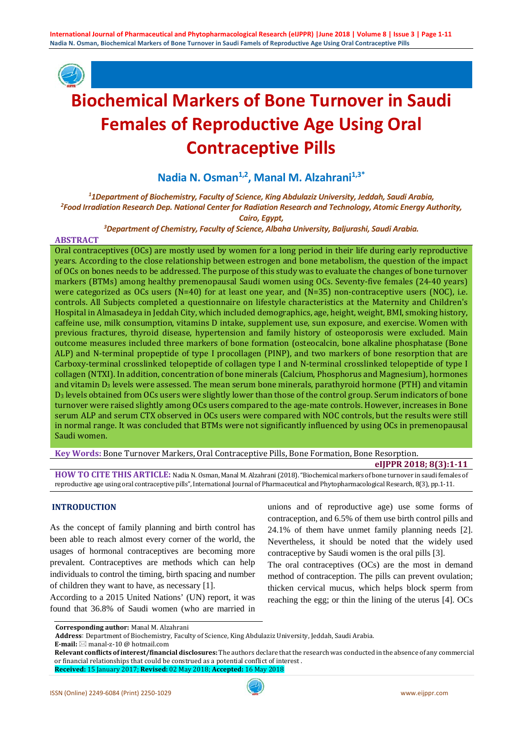

# **Biochemical Markers of Bone Turnover in Saudi Females of Reproductive Age Using Oral Contraceptive Pills**

Nadia N. Osman<sup>1,2</sup>, Manal M. Alzahrani<sup>1,3\*</sup>

*1 1Department of Biochemistry, Faculty of Science, King Abdulaziz University, Jeddah, Saudi Arabia, 2 Food Irradiation Research Dep. National Center for Radiation Research and Technology, Atomic Energy Authority,* 

*Cairo, Egypt,*

*3 Department of Chemistry, Faculty of Science, Albaha University, Baljurashi, Saudi Arabia.*

## **ABSTRACT**

Oral contraceptives (OCs) are mostly used by women for a long period in their life during early reproductive years. According to the close relationship between estrogen and bone metabolism, the question of the impact of OCs on bones needs to be addressed. The purpose of this study was to evaluate the changes of bone turnover markers (BTMs) among healthy premenopausal Saudi women using OCs. Seventy-five females (24-40 years) were categorized as OCs users (N=40) for at least one year, and (N=35) non-contraceptive users (NOC), i.e. controls. All Subjects completed a questionnaire on lifestyle characteristics at the Maternity and Children's Hospital in Almasadeya in Jeddah City, which included demographics, age, height, weight, BMI, smoking history, caffeine use, milk consumption, vitamins D intake, supplement use, sun exposure, and exercise. Women with previous fractures, thyroid disease, hypertension and family history of osteoporosis were excluded. Main outcome measures included three markers of bone formation (osteocalcin, bone alkaline phosphatase (Bone ALP) and N-terminal propeptide of type I procollagen (PINP), and two markers of bone resorption that are Carboxy-terminal crosslinked telopeptide of collagen type I and N-terminal crosslinked telopeptide of type I collagen (NTXI). In addition, concentration of bone minerals (Calcium, Phosphorus and Magnesium), hormones and vitamin  $D_3$  levels were assessed. The mean serum bone minerals, parathyroid hormone (PTH) and vitamin D3 levels obtained from OCs users were slightly lower than those of the control group. Serum indicators of bone turnover were raised slightly among OCs users compared to the age-mate controls. However, increases in Bone serum ALP and serum CTX observed in OCs users were compared with NOC controls, but the results were still in normal range. It was concluded that BTMs were not significantly influenced by using OCs in premenopausal Saudi women.

**Key Words:** Bone Turnover Markers, Oral Contraceptive Pills, Bone Formation, Bone Resorption.

#### **eIJPPR 2018; 8(3):1-11**

**HOW TO CITE THIS ARTICLE:** Nadia N. Osman, Manal M. Alzahrani (2018). "Biochemical markers of bone turnover in saudi females of reproductive age using oral contraceptive pills", International Journal of Pharmaceutical and Phytopharmacological Research, 8(3), pp.1-11.

## **INTRODUCTION**

As the concept of family planning and birth control has been able to reach almost every corner of the world, the usages of hormonal contraceptives are becoming more prevalent. Contraceptives are methods which can help individuals to control the timing, birth spacing and number of children they want to have, as necessary [1].

According to a 2015 United Nations' (UN) report, it was found that 36.8% of Saudi women (who are married in unions and of reproductive age) use some forms of contraception, and 6.5% of them use birth control pills and 24.1% of them have unmet family planning needs [2]. Nevertheless, it should be noted that the widely used contraceptive by Saudi women is the oral pills [3].

The oral contraceptives (OCs) are the most in demand method of contraception. The pills can prevent ovulation; thicken cervical mucus, which helps block sperm from reaching the egg; or thin the lining of the uterus [4]. OCs

**E-mail:** ⊠ manal-z-10 @ hotmail.com

**Corresponding author:** Manal M. Alzahrani

**Address**: Department of Biochemistry, Faculty of Science, King Abdulaziz University, Jeddah, Saudi Arabia.

**Relevant conflicts of interest/financial disclosures:** The authors declare that the research was conducted in the absence of any commercial or financial relationships that could be construed as a potential conflict of interest .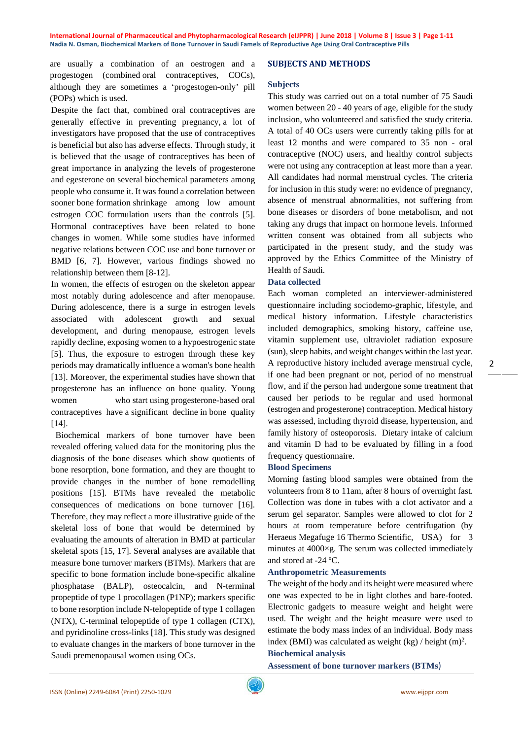are usually a combination of an oestrogen and a progestogen (combined oral contraceptives, COCs), although they are sometimes a 'progestogen-only' pill (POPs) which is used.

Despite the fact that, combined oral contraceptives are generally effective in preventing pregnancy, a lot of investigators have proposed that the use of contraceptives is beneficial but also has adverse effects. Through study, it is believed that the usage of contraceptives has been of great importance in analyzing the levels of progesterone and egesterone on several biochemical parameters among people who consume it. It was found a correlation between sooner bone formation shrinkage among low amount estrogen COC formulation users than the controls [5]. Hormonal contraceptives have been related to bone changes in women. While some studies have informed negative relations between COC use and bone turnover or BMD [6, 7]. However, various findings showed no relationship between them [8-12].

In women, the effects of estrogen on the skeleton appear most notably during adolescence and after menopause. During adolescence, there is a surge in estrogen levels associated with adolescent growth and sexual development, and during menopause, estrogen levels rapidly decline, exposing women to a hypoestrogenic state [5]. Thus, the exposure to estrogen through these key periods may dramatically influence a woman's bone health [13]. Moreover, the experimental studies have shown that progesterone has an influence on bone quality. Young women who start using progesterone-based oral contraceptives have a significant decline in bone quality [14].

 Biochemical markers of bone turnover have been revealed offering valued data for the monitoring plus the diagnosis of the bone diseases which show quotients of bone resorption, bone formation, and they are thought to provide changes in the number of bone remodelling positions [15]. BTMs have revealed the metabolic consequences of medications on bone turnover [16]. Therefore, they may reflect a more illustrative guide of the skeletal loss of bone that would be determined by evaluating the amounts of alteration in BMD at particular skeletal spots [15, 17]. Several analyses are available that measure bone turnover markers (BTMs). Markers that are specific to bone formation include bone-specific alkaline phosphatase (BALP), osteocalcin, and N-terminal propeptide of type 1 procollagen (P1NP); markers specific to bone resorption include N-telopeptide of type 1 collagen (NTX), C-terminal telopeptide of type 1 collagen (CTX), and pyridinoline cross-links [18]. This study was designed to evaluate changes in the markers of bone turnover in the Saudi premenopausal women using OCs.

## **SUBJECTS AND METHODS**

## **Subjects**

This study was carried out on a total number of 75 Saudi women between 20 - 40 years of age, eligible for the study inclusion, who volunteered and satisfied the study criteria. A total of 40 OCs users were currently taking pills for at least 12 months and were compared to 35 non - oral contraceptive (NOC) users, and healthy control subjects were not using any contraception at least more than a year. All candidates had normal menstrual cycles. The criteria for inclusion in this study were: no evidence of pregnancy, absence of menstrual abnormalities, not suffering from bone diseases or disorders of bone metabolism, and not taking any drugs that impact on hormone levels. Informed written consent was obtained from all subjects who participated in the present study, and the study was approved by the Ethics Committee of the Ministry of Health of Saudi.

## **Data collected**

Each woman completed an interviewer-administered questionnaire including sociodemo-graphic, lifestyle, and medical history information. Lifestyle characteristics included demographics, smoking history, caffeine use, vitamin supplement use, ultraviolet radiation exposure (sun), sleep habits, and weight changes within the last year. A reproductive history included average menstrual cycle, if one had been pregnant or not, period of no menstrual flow, and if the person had undergone some treatment that caused her periods to be regular and used hormonal (estrogen and progesterone) contraception. Medical history was assessed, including thyroid disease, hypertension, and family history of osteoporosis. Dietary intake of calcium and vitamin D had to be evaluated by filling in a food frequency questionnaire.

#### **Blood Specimens**

Morning fasting blood samples were obtained from the volunteers from 8 to 11am, after 8 hours of overnight fast. Collection was done in tubes with a clot activator and a serum gel separator. Samples were allowed to clot for 2 hours at room temperature before centrifugation (by Heraeus Megafuge 16 Thermo Scientific, USA) for 3 minutes at 4000×g. The serum was collected immediately and stored at -24 ºC.

## **Anthropometric Measurements**

The weight of the body and its height were measured where one was expected to be in light clothes and bare-footed. Electronic gadgets to measure weight and height were used. The weight and the height measure were used to estimate the body mass index of an individual. Body mass index (BMI) was calculated as weight  $(kg)$  / height  $(m)^2$ .

# **Biochemical analysis**

**Assessment of bone turnover markers (BTMs**)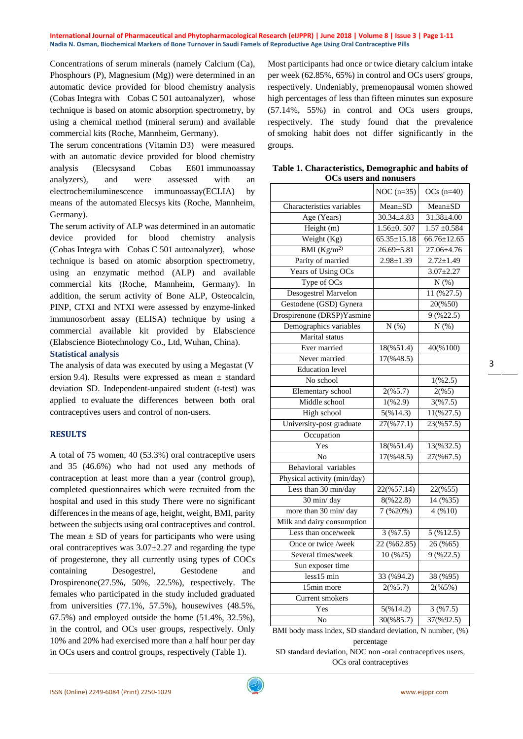Concentrations of serum minerals (namely Calcium (Ca), Phosphours (P), Magnesium (Mg)) were determined in an automatic device provided for blood chemistry analysis (Cobas Integra with Cobas C 501 autoanalyzer), whose technique is based on atomic absorption spectrometry, by using a chemical method (mineral serum) and available commercial kits (Roche, Mannheim, Germany).

The serum concentrations (Vitamin D3) were measured with an automatic device provided for blood chemistry analysis (Elecsysand Cobas E601 immunoassay analyzers), and were assessed with an electrochemiluminescence immunoassay(ECLIA) by means of the automated Elecsys kits (Roche, Mannheim, Germany).

The serum activity of ALP was determined in an automatic device provided for blood chemistry analysis (Cobas Integra with Cobas C 501 autoanalyzer), whose technique is based on atomic absorption spectrometry, using an enzymatic method (ALP) and available commercial kits (Roche, Mannheim, Germany). In addition, the serum activity of Bone ALP, Osteocalcin, PINP, CTXI and NTXI were assessed by enzyme-linked immunosorbent assay (ELISA) technique by using a commercial available kit provided by Elabscience (Elabscience Biotechnology Co., Ltd, Wuhan, China). **Statistical analysis**

The analysis of data was executed by using a Megastat (V ersion 9.4). Results were expressed as mean  $\pm$  standard deviation SD. Independent-unpaired student (t-test) was applied to evaluate the differences between both oral contraceptives users and control of non-users.

## **RESULTS**

A total of 75 women, 40 (53.3%) oral contraceptive users and 35 (46.6%) who had not used any methods of contraception at least more than a year (control group), completed questionnaires which were recruited from the hospital and used in this study There were no significant differences in the means of age, height, weight, BMI, parity between the subjects using oral contraceptives and control. The mean  $\pm$  SD of years for participants who were using oral contraceptives was  $3.07 \pm 2.27$  and regarding the type of progesterone, they all currently using types of COCs containing Desogestrel, Gestodene and Drospirenone(27.5%, 50%, 22.5%), respectively. The females who participated in the study included graduated from universities (77.1%, 57.5%), housewives (48.5%, 67.5%) and employed outside the home (51.4%, 32.5%), in the control, and OCs user groups, respectively. Only 10% and 20% had exercised more than a half hour per day in OCs users and control groups, respectively (Table 1).

Most participants had once or twice dietary calcium intake per week (62.85%, 65%) in control and OCs users' groups, respectively. Undeniably, premenopausal women showed high percentages of less than fifteen minutes sun exposure (57.14%, 55%) in control and OCs users groups, respectively. The study found that the prevalence of smoking habit does not differ significantly in the groups.

| Table 1. Characteristics, Demographic and habits of |
|-----------------------------------------------------|
| <b>OCs users and nonusers</b>                       |

| OCS users and nonusers      |                        |                       |
|-----------------------------|------------------------|-----------------------|
|                             | NOC $(n=35)$           | OCs $(n=40)$          |
| Characteristics variables   | Mean±SD                | Mean±SD               |
| Age (Years)                 | $30.34 \pm 4.83$       | $31.38 \pm 4.00$      |
| Height (m)                  | $1.56 \pm 0.507$       | $1.57 \pm 0.584$      |
| Weight $(Kg)$               | $65.35 \pm 15.18$      | $66.76 \pm 12.65$     |
| BMI (Kg/m <sup>2</sup> )    | $26.69 \pm 5.81$       | $27.06 \pm 4.76$      |
| Parity of married           | $2.98 \pm 1.39$        | $2.72 \pm 1.49$       |
| Years of Using OCs          |                        | $3.07 \pm 2.27$       |
| Type of OCs                 |                        | N(%)                  |
| <b>Desogestrel Marvelon</b> |                        | $11($ %27.5)          |
| Gestodene (GSD) Gynera      |                        | 20(%50)               |
| Drospirenone (DRSP)Yasmine  |                        | 9(%22.5)              |
| Demographics variables      | N(%)                   | N(%)                  |
| Marital status              |                        |                       |
| Ever married                | 18(%51.4)              | 40(%100)              |
| Never married               | $17(\frac{6}{48.5})$   |                       |
| <b>Education</b> level      |                        |                       |
| No school                   |                        | 1(%2.5)               |
| <b>Elementary</b> school    | $\overline{2(}965.7)$  | 2(%5)                 |
| Middle school               | 1(%2.9)                | 3(%7.5)               |
| High school                 | 5(%14.3)               | $11(\frac{627.5}{5})$ |
| University-post graduate    | 27(%77.1)              | 23(%57.5)             |
| Occupation                  |                        |                       |
| Yes                         | 18(%51.4)              | 13(%32.5)             |
| N <sub>o</sub>              | 17(%48.5)              | 27(%67.5)             |
| Behavioral variables        |                        |                       |
| Physical activity (min/day) |                        |                       |
| Less than 30 min/day        | $22(\frac{2}{6}57.14)$ | 22(%55)               |
| 30 min/day                  | 8(%22.8)               | 14 (%35)              |
| more than 30 min/day        | 7(%20%)                | 4(%10)                |
| Milk and dairy consumption  |                        |                       |
| Less than once/week         | 3(%7.5)                | 5 (%12.5)             |
| Once or twice /week         | 22 (%62.85)            | 26 (%65)              |
| Several times/week          | 10 (%25)               | 9(%22.5)              |
| Sun exposer time            |                        |                       |
| $1$ ess $15$ min            | 33 (%94.2)             | 38 (%95)              |
| 15min more                  | 2(%5.7)                | 2(%5%)                |
| <b>Current</b> smokers      |                        |                       |
| Yes                         | 5(%14.2)               | 3(%7.5)               |
| $\overline{\text{No}}$      | 30(%85.7)              | 37(%92.5)             |

BMI body mass index, SD standard deviation, N number, (%) percentage

SD standard deviation, NOC non -oral contraceptives users, OCs oral contraceptives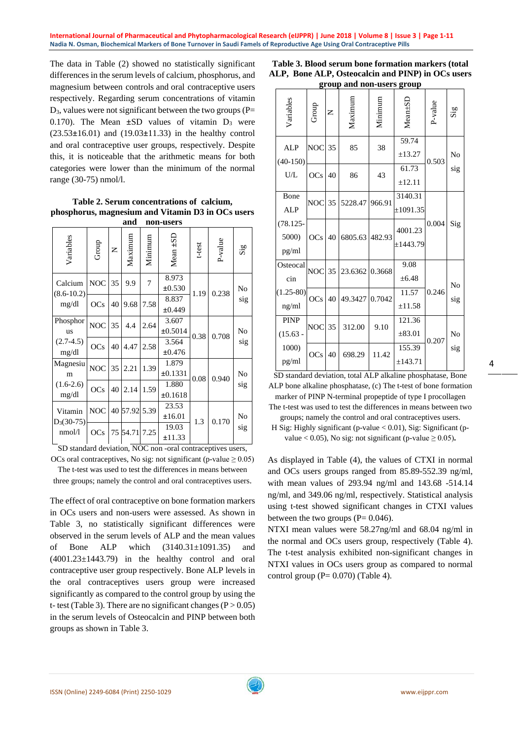The data in Table (2) showed no statistically significant differences in the serum levels of calcium, phosphorus, and magnesium between controls and oral contraceptive users respectively. Regarding serum concentrations of vitamin  $D_3$ , values were not significant between the two groups (P= 0.170). The Mean  $\pm SD$  values of vitamin  $D_3$  were (23.53**±**16.01) and (19.03**±**11.33) in the healthy control and oral contraceptive user groups, respectively. Despite this, it is noticeable that the arithmetic means for both categories were lower than the minimum of the normal range (30-75) nmol/l.

**Table 2. Serum concentrations of calcium, phosphorus, magnesium and Vitamin D3 in OCs users and non-users**

| Variables                 | Group      | Z  | Maximum  | Minimum | Mean ±SD         | t-test | P-value | $\mathrm{Sig}$ |
|---------------------------|------------|----|----------|---------|------------------|--------|---------|----------------|
| Calcium<br>$(8.6 - 10.2)$ | <b>NOC</b> | 35 | 9.9      | 7       | 8.973<br>±0.530  | 1.19   | 0.238   | No             |
| mg/dl                     | OCs        | 40 | 9.68     | 7.58    | 8.837<br>±0.449  |        |         | sig            |
| Phosphor<br><b>us</b>     | <b>NOC</b> | 35 | 4.4      | 2.64    | 3.607<br>±0.5014 | 0.38   | 0.708   | No             |
| $(2.7-4.5)$<br>mg/dl      | <b>OCs</b> | 40 | 4.47     | 2.58    | 3.564<br>±0.476  |        |         | sig            |
| Magnesiu<br>m             | <b>NOC</b> | 35 | 2.21     | 1.39    | 1.879<br>±0.1331 | 0.08   | 0.940   | No             |
| $(1.6-2.6)$<br>mg/dl      | <b>OCs</b> | 40 | 2.14     | 1.59    | 1.880<br>±0.1618 |        |         | sig            |
| Vitamin                   | <b>NOC</b> |    | 40 57.92 | 5.39    | 23.53<br>±16.01  | 1.3    | 0.170   | No             |
| $D_3(30-75)$<br>nmol/l    | OCs        |    | 75 54.71 | 7.25    | 19.03<br>±11.33  |        |         | sig            |

SD standard deviation, NOC non -oral contraceptives users, OCs oral contraceptives, No sig: not significant (p-value  $\geq 0.05$ )

The t-test was used to test the differences in means between

three groups; namely the control and oral contraceptives users.

The effect of oral contraceptive on bone formation markers in OCs users and non-users were assessed. As shown in Table 3, no statistically significant differences were observed in the serum levels of ALP and the mean values of Bone ALP which (3140.31±1091.35) and  $(4001.23 \pm 1443.79)$  in the healthy control and oral contraceptive user group respectively. Bone ALP levels in the oral contraceptives users group were increased significantly as compared to the control group by using the t- test (Table 3). There are no significant changes ( $P > 0.05$ ) in the serum levels of Osteocalcin and PINP between both groups as shown in Table 3.

| Table 3. Blood serum bone formation markers (total |  |  |  |  |  |  |
|----------------------------------------------------|--|--|--|--|--|--|
| ALP, Bone ALP, Osteocalcin and PINP) in OCs users  |  |  |  |  |  |  |
| group and non-users group                          |  |  |  |  |  |  |

|                               |               |    | $S_{\rm rot}$ and non-discrete $S_{\rm rot}$ |         |                          |         |                |
|-------------------------------|---------------|----|----------------------------------------------|---------|--------------------------|---------|----------------|
| Variables                     | Group         | Z  | Maximun                                      | Minimum | $Mean + SD$              | P-value | Sig            |
| <b>ALP</b><br>$(40-150)$      | <b>NOC</b> 35 |    | 85                                           | 38      | 59.74<br>±13.27          | 0.503   | No             |
| U/L                           | <b>OCs</b>    | 40 | 86                                           | 43      | 61.73<br>±12.11          |         | sig            |
| Bone<br><b>ALP</b>            | <b>NOC</b>    | 35 | 5228.47                                      | 966.91  | 3140.31<br>$\pm 1091.35$ |         |                |
| $(78.125 -$<br>5000)<br>pg/ml | <b>OCs</b>    | 40 | 6805.63 482.93                               |         | 4001.23<br>±1443.79      | 0.004   | Sig            |
| Osteocal<br>cin               | <b>NOC</b> 35 |    | 23.6362 0.3668                               |         | 9.08<br>$\pm 6.48$       |         | No             |
| $(1.25 - 80)$<br>ng/ml        | OCs           | 40 | 49.3427                                      | 0.7042  | 11.57<br>±11.58          | 0.246   | sig            |
| <b>PINP</b><br>$(15.63 -$     | <b>NOC</b>    | 35 | 312.00                                       | 9.10    | 121.36<br>$\pm 83.01$    | 0.207   | N <sub>0</sub> |
| 1000)<br>pg/ml                | OCs           | 40 | 698.29                                       | 11.42   | 155.39<br>±143.71        |         | sig            |

SD standard deviation, total ALP alkaline phosphatase, Bone ALP bone alkaline phosphatase, (c) The t-test of bone formation marker of PINP N-terminal propeptide of type I procollagen

The t-test was used to test the differences in means between two groups; namely the control and oral contraceptives users.

H Sig: Highly significant (p-value < 0.01), Sig: Significant (pvalue  $< 0.05$ ), No sig: not significant (p-value  $\geq 0.05$ ).

As displayed in Table (4), the values of CTXI in normal and OCs users groups ranged from 85.89-552.39 ng/ml, with mean values of 293.94 ng/ml and 143.68 -514.14 ng/ml, and 349.06 ng/ml, respectively. Statistical analysis using t-test showed significant changes in CTXI values between the two groups  $(P= 0.046)$ .

NTXI mean values were 58.27ng/ml and 68.04 ng/ml in the normal and OCs users group, respectively (Table 4). The t-test analysis exhibited non-significant changes in NTXI values in OCs users group as compared to normal control group  $(P= 0.070)$  (Table 4).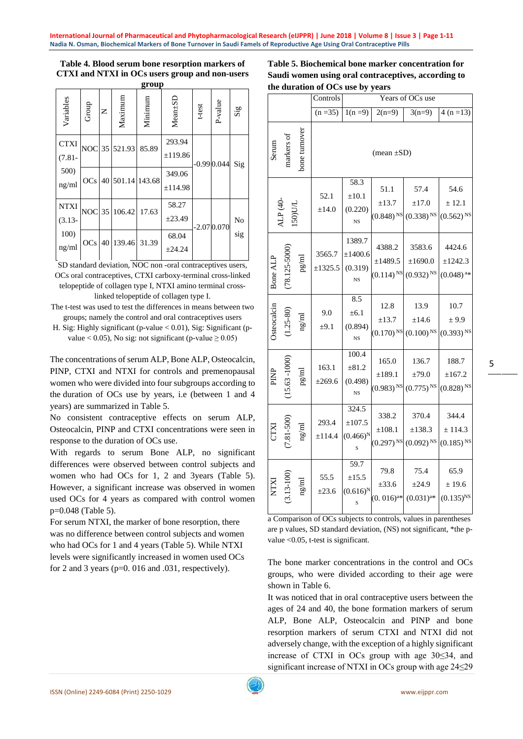# **Table 4. Blood serum bone resorption markers of CTXI and NTXI in OCs users group and non-users**

| group                            |            |              |                  |         |                             |              |              |                             |  |
|----------------------------------|------------|--------------|------------------|---------|-----------------------------|--------------|--------------|-----------------------------|--|
| Variables                        | Group      | $\mathsf{z}$ | Maximum          | Minimum | Mean+SD                     | t-test       | P-value      | $\mathbf{Si}_{\mathcal{B}}$ |  |
| <b>CTXI</b><br>$(7.81 -$<br>500) |            |              | NOC 35 521.93    | 85.89   | 293.94<br>±119.86<br>349.06 |              | $-0.990.044$ | Sig                         |  |
| ng/ml                            | OCs        |              | 40 501.14 143.68 |         | ±114.98<br>58.27            |              |              |                             |  |
| <b>NTXI</b><br>$(3.13 -$         | <b>NOC</b> | 35           | 106.42           | 17.63   | ±23.49                      | $-2.070.070$ |              | N <sub>o</sub>              |  |
| 100)<br>ng/ml                    | OCs        |              | 40 139.46 31.39  |         | 68.04<br>±24.24             |              |              | sig                         |  |

SD standard deviation, NOC non-oral contraceptives users, OCs oral contraceptives, CTXI carboxy-terminal cross-linked telopeptide of collagen type I, NTXI amino terminal crosslinked telopeptide of collagen type I.

The t-test was used to test the differences in means between two groups; namely the control and oral contraceptives users

H. Sig: Highly significant (p-value < 0.01), Sig: Significant (pvalue < 0.05), No sig: not significant (p-value  $\geq$  0.05)

The concentrations of serum ALP, Bone ALP, Osteocalcin, PINP, CTXI and NTXI for controls and premenopausal women who were divided into four subgroups according to the duration of OCs use by years, i.e (between 1 and 4 years) are summarized in Table 5.

No consistent contraceptive effects on serum ALP, Osteocalcin, PINP and CTXI concentrations were seen in response to the duration of OCs use.

With regards to serum Bone ALP, no significant differences were observed between control subjects and women who had OCs for 1, 2 and 3years (Table 5). However, a significant increase was observed in women used OCs for 4 years as compared with control women p=0.048 (Table 5).

For serum NTXI, the marker of bone resorption, there was no difference between control subjects and women who had OCs for 1 and 4 years (Table 5). While NTXI levels were significantly increased in women used OCs for 2 and 3 years ( $p=0$ . 016 and .031, respectively).

| Table 5. Biochemical bone marker concentration for  |
|-----------------------------------------------------|
| Saudi women using oral contraceptives, according to |
| the duration of OCs use by vears                    |

|             |                  |               | Controls           | Years of OCs use                                        |                                      |                                                                      |                                                 |  |
|-------------|------------------|---------------|--------------------|---------------------------------------------------------|--------------------------------------|----------------------------------------------------------------------|-------------------------------------------------|--|
|             |                  |               | $(n = 35)$         | $1(n=9)$                                                | $2(n=9)$                             | $3(n=9)$                                                             | $4(n=13)$                                       |  |
| Serum       | markers of       | bone turnover | $(mean \pm SD)$    |                                                         |                                      |                                                                      |                                                 |  |
|             | ALP (40-<br>150  |               | 52.1<br>±14.0      | $\overline{58.3}$<br>$\pm 10.1$<br>(0.220)<br><b>NS</b> | 51.1<br>$\pm 13.7$                   | 57.4<br>±17.0<br>$(0.848)$ <sup>NS</sup> $(0.338)$ <sup>NS</sup>     | 54.6<br>± 12.1<br>$(0.562)$ <sup>NS</sup>       |  |
| Bone ALP    | $(78.125 - 5000$ | pg/ml         | 3565.7<br>±1325.5  | 1389.7<br>±1400.6<br>(0.319)<br>$_{\rm NS}$             | 4388.2<br>±1489.5                    | 3583.6<br>±1690.0<br>$(0.114)$ <sup>NS</sup> $(0.932)$ <sup>NS</sup> | 4424.6<br>±1242.3<br>$(0.048)$ <sup>a*</sup>    |  |
| Osteocalcin | $(1.25 - 80)$    | $\rm ng/ml$   | 9.0<br>$\pm 9.1$   | 8.5<br>±6.1<br>(0.894)<br>$_{\rm NS}$                   | 12.8<br>$\pm$ 13.7                   | 13.9<br>±14.6<br>$(0.170)$ <sup>NS</sup> $(0.100)$ <sup>NS</sup>     | 10.7<br>± 9.9<br>$(0.393)$ <sup>NS</sup>        |  |
| PINP        | 15.63 - 1000)    |               | 163.1<br>±269.6    | 100.4<br>$\pm 81.2$<br>(0.498)<br>$_{\rm NS}$           | 165.0<br>±189.1                      | 136.7<br>±79.0<br>$(0.983)$ <sup>NS</sup> $(0.775)$ <sup>NS</sup>    | 188.7<br>$\pm 167.2$<br>$(0.828)$ <sup>NS</sup> |  |
| <b>CTXI</b> | $(7.81 - 500)$   | ng/ml         | 293.4<br>±114.4    | 324.5<br>$\pm 107.5$<br>$(0.466)^N$<br>S                | 338.2<br>±108.1                      | 370.4<br>±138.3<br>$(0.297)^{\text{NS}}$ $(0.092)^{\text{NS}}$       | 344.4<br>± 114.3<br>$(0.185)$ <sup>NS</sup>     |  |
| <b>IXLN</b> | 3.13-100)        | ng/ml         | 55.5<br>$\pm 23.6$ | 59.7<br>$\pm 15.5$<br>$(0.616)^N$<br>S                  | 79.8<br>$\pm 33.6$<br>$(0.016)^{a*}$ | 75.4<br>$\pm 24.9$<br>$(0.031)^{a*}$                                 | 65.9<br>± 19.6<br>$(0.135)^{NS}$                |  |

a Comparison of OCs subjects to controls, values in parentheses are p values, SD standard deviation, (NS) not significant, \*the pvalue <0.05, t-test is significant.

The bone marker concentrations in the control and OCs groups, who were divided according to their age were shown in Table 6.

It was noticed that in oral contraceptive users between the ages of 24 and 40, the bone formation markers of serum ALP, Bone ALP, Osteocalcin and PINP and bone resorption markers of serum CTXI and NTXI did not adversely change, with the exception of a highly significant increase of CTXI in OCs group with age 30≤34, and significant increase of NTXI in OCs group with age 24≤29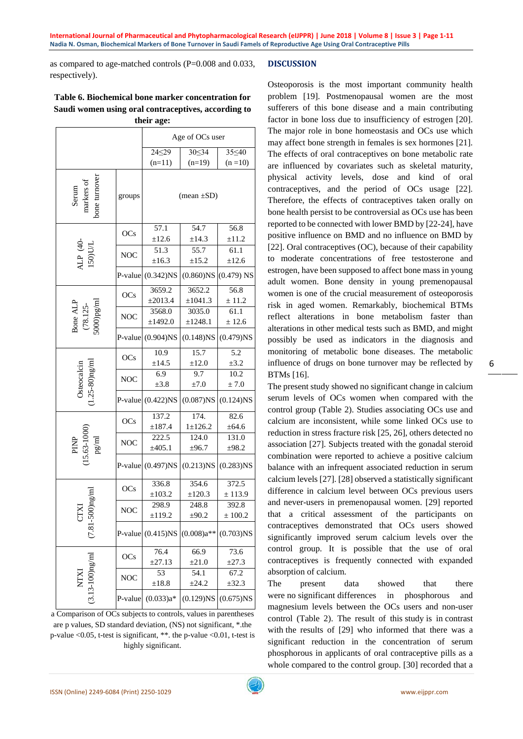as compared to age-matched controls (P=0.008 and 0.033, respectively).

## **Table 6. Biochemical bone marker concentration for Saudi women using oral contraceptives, according to their age:**

|                                      |            |                      | Age of OCs user    |               |  |  |  |
|--------------------------------------|------------|----------------------|--------------------|---------------|--|--|--|
|                                      |            | $24 \le 29$          | 30 < 34            | 35 <40        |  |  |  |
|                                      |            | $(n=11)$             | $(n=19)$           | $(n = 10)$    |  |  |  |
| Serum<br>markers of<br>bone turnover | groups     |                      | $(mean \pm SD)$    |               |  |  |  |
|                                      | OCs        | 57.1                 | 54.7               | 56.8          |  |  |  |
|                                      |            | ±12.6                | $\pm$ 14.3         | $\pm 11.2$    |  |  |  |
| ALP (40-<br>150)UL                   | NOC        | 51.3<br>±16.3        | 55.7<br>$\pm 15.2$ | 61.1<br>±12.6 |  |  |  |
|                                      | P-value    | $(0.342)$ NS         | $(0.860)$ NS       | $(0.479)$ NS  |  |  |  |
|                                      |            | 3659.2               | 3652.2             | 56.8          |  |  |  |
|                                      | OCs        | ±2013.4              | ±1041.3            | $\pm$ 11.2    |  |  |  |
|                                      |            | 3568.0               | 3035.0             | 61.1          |  |  |  |
| Bone ALP<br>(78.125-<br>5000)pg/ml   | <b>NOC</b> | ±1492.0              | ±1248.1            | ± 12.6        |  |  |  |
|                                      | P-value    | $(0.904)$ NS         | $(0.148)$ NS       | $(0.479)$ NS  |  |  |  |
|                                      |            | 10.9                 | 15.7               | 5.2           |  |  |  |
| Osteocalcin<br>(1.25-80)ng/ml        | OCs        | ±14.5                | ±12.0              | $\pm 3.2$     |  |  |  |
|                                      | <b>NOC</b> | 6.9                  | 9.7                | 10.2          |  |  |  |
|                                      |            | $\pm 3.8$            | ±7.0               | ± 7.0         |  |  |  |
|                                      | P-value    | $(0.422)$ NS         | $(0.087)$ NS       | $(0.124)$ NS  |  |  |  |
|                                      |            | 137.2                | 174.               | 82.6          |  |  |  |
|                                      | OCs        | ±187.4               | $1 \pm 126.2$      | $\pm 64.6$    |  |  |  |
|                                      | <b>NOC</b> | 222.5                | 124.0              | 131.0         |  |  |  |
|                                      |            | ±405.1               | ±96.7              | ±98.2         |  |  |  |
| PINP<br>15.63-1000)<br>pg/ml         | P-value    | $(0.497)$ NS         | $(0.213)$ NS       | $(0.283)$ NS  |  |  |  |
|                                      |            | 336.8                | 354.6              | 372.5         |  |  |  |
|                                      | OCs        | $\pm 103.2$          | $\pm 120.3$        | ± 113.9       |  |  |  |
|                                      |            | 298.9                | 248.8              | 392.8         |  |  |  |
| ΚL                                   | <b>NOC</b> | $\pm$ 119.2          | $\pm 90.2$         | $\pm 100.2$   |  |  |  |
| $(7.81 - 5)$                         |            | P-value $(0.415)$ NS | $(0.008)a**$       | $(0.703)$ NS  |  |  |  |
|                                      |            | 76.4                 | 66.9               | 73.6          |  |  |  |
|                                      | OCs        | $\pm 27.13$          | $\pm 21.0$         | $\pm 27.3$    |  |  |  |
|                                      |            | 53                   | 54.1               | 67.2          |  |  |  |
|                                      | NOC        | $\pm 18.8$           | $\pm 24.2$         | $\pm 32.3$    |  |  |  |
| NTXI<br>(3.13-100)ng/ml              | P-value    | $(0.033)a*$          | $(0.129)$ NS       | $(0.675)$ NS  |  |  |  |

a Comparison of OCs subjects to controls, values in parentheses are p values, SD standard deviation, (NS) not significant, \*.the p-value <0.05, t-test is significant, \*\*. the p-value <0.01, t-test is highly significant.

# **DISCUSSION**

Osteoporosis is the most important community health problem [19]. Postmenopausal women are the most sufferers of this bone disease and a main contributing factor in bone loss due to insufficiency of estrogen [20]. The major role in bone homeostasis and OCs use which may affect bone strength in females is sex hormones [21]. The effects of oral contraceptives on bone metabolic rate are influenced by covariates such as skeletal maturity, physical activity levels, dose and kind of oral contraceptives, and the period of OCs usage [22]. Therefore, the effects of contraceptives taken orally on bone health persist to be controversial as OCs use has been reported to be connected with lower BMD by [22-24], have positive influence on BMD and no influence on BMD by [22]. Oral contraceptives (OC), because of their capability to moderate concentrations of free testosterone and estrogen, have been supposed to affect bone mass in young adult women. Bone density in young premenopausal women is one of the crucial measurement of osteoporosis risk in aged women. Remarkably, biochemical BTMs reflect alterations in bone metabolism faster than alterations in other medical tests such as BMD, and might possibly be used as indicators in the diagnosis and monitoring of metabolic bone diseases. The metabolic influence of drugs on bone turnover may be reflected by BTMs [16].

The present study showed no significant change in calcium serum levels of OCs women when compared with the control group (Table 2). Studies associating OCs use and calcium are inconsistent, while some linked OCs use to reduction in stress fracture risk [25, 26], others detected no association [27]. Subjects treated with the gonadal steroid combination were reported to achieve a positive calcium balance with an infrequent associated reduction in serum calcium levels [27]. [28] observed a statistically significant difference in calcium level between OCs previous users and never-users in premenopausal women. [29] reported that a critical assessment of the participants on contraceptives demonstrated that OCs users showed significantly improved serum calcium levels over the control group. It is possible that the use of oral contraceptives is frequently connected with expanded absorption of calcium.

The present data showed that there were no significant differences in phosphorous and magnesium levels between the OCs users and non-user control (Table 2). The result of this study is in contrast with the results of [29] who informed that there was a significant reduction in the concentration of serum phosphorous in applicants of oral contraceptive pills as a whole compared to the control group. [30] recorded that a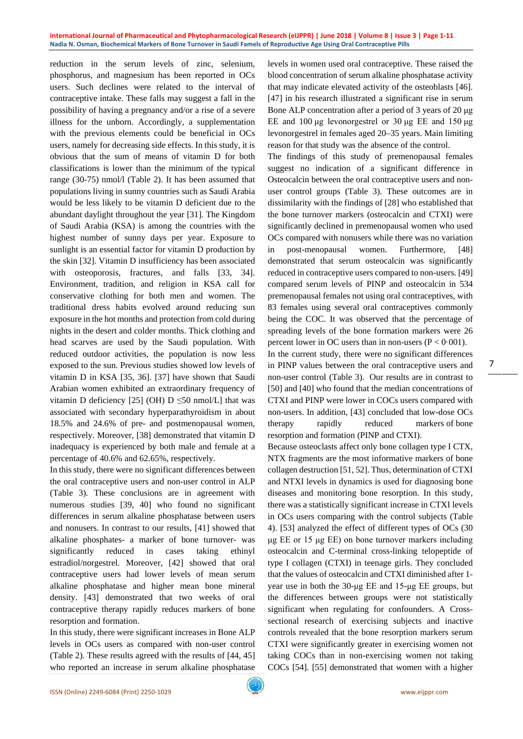reduction in the serum levels of zinc, selenium, phosphorus, and magnesium has been reported in OCs users. Such declines were related to the interval of contraceptive intake. These falls may suggest a fall in the possibility of having a pregnancy and/or a rise of a severe illness for the unborn. Accordingly, a supplementation with the previous elements could be beneficial in OCs users, namely for decreasing side effects. In this study, it is obvious that the sum of means of vitamin D for both classifications is lower than the minimum of the typical range (30-75) nmol/l (Table 2). It has been assumed that populations living in sunny countries such as Saudi Arabia would be less likely to be vitamin D deficient due to the abundant daylight throughout the year [31]. The Kingdom of Saudi Arabia (KSA) is among the countries with the highest number of sunny days per year. Exposure to sunlight is an essential factor for vitamin D production by the skin [32]. Vitamin D insufficiency has been associated with osteoporosis, fractures, and falls [33, 34]. Environment, tradition, and religion in KSA call for conservative clothing for both men and women. The traditional dress habits evolved around reducing sun exposure in the hot months and protection from cold during nights in the desert and colder months. Thick clothing and head scarves are used by the Saudi population. With reduced outdoor activities, the population is now less exposed to the sun. Previous studies showed low levels of vitamin D in KSA [35, 36]. [37] have shown that Saudi Arabian women exhibited an extraordinary frequency of vitamin D deficiency [25] (OH)  $D \leq 50$  nmol/L] that was associated with secondary hyperparathyroidism in about 18.5% and 24.6% of pre- and postmenopausal women, respectively. Moreover, [38] demonstrated that vitamin D inadequacy is experienced by both male and female at a percentage of 40.6% and 62.65%, respectively.

In this study, there were no significant differences between the oral contraceptive users and non-user control in ALP (Table 3). These conclusions are in agreement with numerous studies [39, 40] who found no significant differences in serum alkaline phosphatase between users and nonusers. In contrast to our results, [41] showed that alkaline phosphates- a marker of bone turnover- was significantly reduced in cases taking ethinyl estradiol/norgestrel. Moreover, [42] showed that oral contraceptive users had lower levels of mean serum alkaline phosphatase and higher mean bone mineral density. [43] demonstrated that two weeks of oral contraceptive therapy rapidly reduces markers of bone resorption and formation.

In this study, there were significant increases in Bone ALP levels in OCs users as compared with non-user control (Table 2). These results agreed with the results of [44, 45] who reported an increase in serum alkaline phosphatase levels in women used oral contraceptive. These raised the blood concentration of serum alkaline phosphatase activity that may indicate elevated activity of the osteoblasts [46]. [47] in his research illustrated a significant rise in serum Bone ALP concentration after a period of 3 years of 20 μg EE and 100 μg levonorgestrel or 30 μg EE and 150 μg levonorgestrel in females aged 20–35 years. Main limiting reason for that study was the absence of the control.

The findings of this study of premenopausal females suggest no indication of a significant difference in Osteocalcin between the oral contraceptive users and nonuser control groups (Table 3). These outcomes are in dissimilarity with the findings of [28] who established that the bone turnover markers (osteocalcin and CTXI) were significantly declined in premenopausal women who used OCs compared with nonusers while there was no variation in post-menopausal women. Furthermore, [48] demonstrated that serum osteocalcin was significantly reduced in contraceptive users compared to non-users. [49] compared serum levels of PINP and osteocalcin in 534 premenopausal females not using oral contraceptives, with 83 females using several oral contraceptives commonly being the COC. It was observed that the percentage of spreading levels of the bone formation markers were 26 percent lower in OC users than in non-users  $(P < 0.001)$ .

In the current study, there were no significant differences in PINP values between the oral contraceptive users and non-user control (Table 3). Our results are in contrast to [50] and [40] who found that the median concentrations of CTXI and PINP were lower in COCs users compared with non-users. In addition, [43] concluded that low-dose OCs therapy rapidly reduced markers of bone resorption and formation (PINP and CTXI).

7

Because osteoclasts affect only bone collagen type I CTX, NTX fragments are the most informative markers of bone collagen destruction [51, 52]. Thus, determination of CTXI and NTXI levels in dynamics is used for diagnosing bone diseases and monitoring bone resorption. In this study, there was a statistically significant increase in CTXI levels in OCs users comparing with the control subjects (Table 4). [53] analyzed the effect of different types of OCs (30 μg EE or 15 μg EE) on bone turnover markers including osteocalcin and C-terminal cross-linking telopeptide of type I collagen (CTXI) in teenage girls. They concluded that the values of osteocalcin and CTXI diminished after 1 year use in both the 30-μg EE and 15-μg EE groups, but the differences between groups were not statistically significant when regulating for confounders. A Crosssectional research of exercising subjects and inactive controls revealed that the bone resorption markers serum CTXI were significantly greater in exercising women not taking COCs than in non-exercising women not taking COCs [54]. [55] demonstrated that women with a higher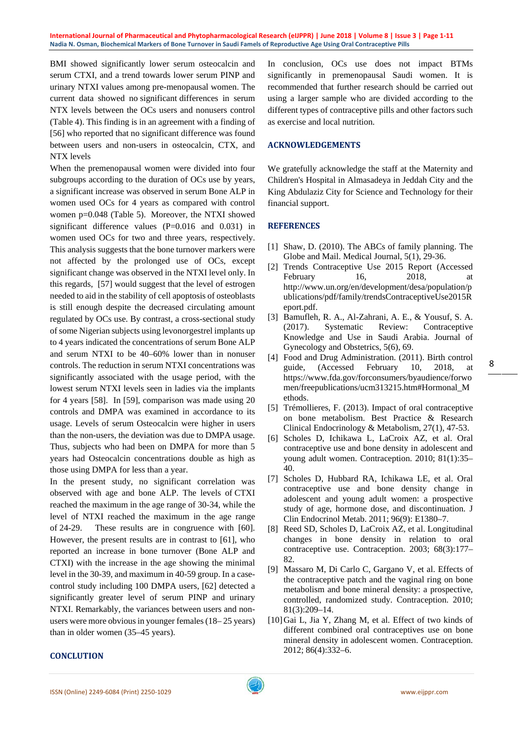BMI showed significantly lower serum osteocalcin and serum CTXI, and a trend towards lower serum PINP and urinary NTXI values among pre-menopausal women. The current data showed no significant differences in serum NTX levels between the OCs users and nonusers control (Table 4). This finding is in an agreement with a finding of [56] who reported that no significant difference was found between users and non-users in osteocalcin, CTX, and NTX levels

When the premenopausal women were divided into four subgroups according to the duration of OCs use by years, a significant increase was observed in serum Bone ALP in women used OCs for 4 years as compared with control women p=0.048 (Table 5). Moreover, the NTXI showed significant difference values (P=0.016 and 0.031) in women used OCs for two and three years, respectively. This analysis suggests that the bone turnover markers were not affected by the prolonged use of OCs, except significant change was observed in the NTXI level only. In this regards, [57] would suggest that the level of estrogen needed to aid in the stability of cell apoptosis of osteoblasts is still enough despite the decreased circulating amount regulated by OCs use. By contrast, a cross-sectional study of some Nigerian subjects using levonorgestrel implants up to 4 years indicated the concentrations of serum Bone ALP and serum NTXI to be 40–60% lower than in nonuser controls. The reduction in serum NTXI concentrations was significantly associated with the usage period, with the lowest serum NTXI levels seen in ladies via the implants for 4 years [58]. In [59], comparison was made using 20 controls and DMPA was examined in accordance to its usage. Levels of serum Osteocalcin were higher in users than the non-users, the deviation was due to DMPA usage. Thus, subjects who had been on DMPA for more than 5 years had Osteocalcin concentrations double as high as those using DMPA for less than a year.

In the present study, no significant correlation was observed with age and bone ALP. The levels of CTXI reached the maximum in the age range of 30-34, while the level of NTXI reached the maximum in the age range of 24-29. These results are in congruence with [60]. However, the present results are in contrast to [61], who reported an increase in bone turnover (Bone ALP and CTXI) with the increase in the age showing the minimal level in the 30-39, and maximum in 40-59 group. In a casecontrol study including 100 DMPA users, [62] detected a significantly greater level of serum PINP and urinary NTXI. Remarkably, the variances between users and nonusers were more obvious in younger females (18– 25 years) than in older women (35–45 years).

In conclusion, OCs use does not impact BTMs significantly in premenopausal Saudi women. It is recommended that further research should be carried out using a larger sample who are divided according to the different types of contraceptive pills and other factors such as exercise and local nutrition.

## **ACKNOWLEDGEMENTS**

We gratefully acknowledge the staff at the Maternity and Children's Hospital in Almasadeya in Jeddah City and the King Abdulaziz City for Science and Technology for their financial support.

## **REFERENCES**

- [1] Shaw, D. (2010). The ABCs of family planning. The Globe and Mail. Medical Journal, 5(1), 29-36.
- [2] Trends Contraceptive Use 2015 Report (Accessed February 16, 2018, at http://www.un.org/en/development/desa/population/p ublications/pdf/family/trendsContraceptiveUse2015R eport.pdf.
- [3] Bamufleh, R. A., Al-Zahrani, A. E., & Yousuf, S. A. (2017). Systematic Review: Contraceptive Knowledge and Use in Saudi Arabia. Journal of Gynecology and Obstetrics, 5(6), 69.
- [4] Food and Drug Administration. (2011). Birth control guide, (Accessed February 10, 2018, at https://www.fda.gov/forconsumers/byaudience/forwo men/freepublications/ucm313215.htm#Hormonal\_M ethods.
- [5] Trémollieres, F. (2013). Impact of oral contraceptive on bone metabolism. Best Practice & Research Clinical Endocrinology & Metabolism, 27(1), 47-53.
- [6] Scholes D, Ichikawa L, LaCroix AZ, et al. Oral contraceptive use and bone density in adolescent and young adult women. Contraception. 2010; 81(1):35– 40.
- [7] Scholes D, Hubbard RA, Ichikawa LE, et al. Oral contraceptive use and bone density change in adolescent and young adult women: a prospective study of age, hormone dose, and discontinuation. J Clin Endocrinol Metab. 2011; 96(9): E1380–7.
- [8] Reed SD, Scholes D, LaCroix AZ, et al. Longitudinal changes in bone density in relation to oral contraceptive use. Contraception. 2003; 68(3):177– 82.
- [9] Massaro M, Di Carlo C, Gargano V, et al. Effects of the contraceptive patch and the vaginal ring on bone metabolism and bone mineral density: a prospective, controlled, randomized study. Contraception. 2010; 81(3):209–14.
- [10]Gai L, Jia Y, Zhang M, et al. Effect of two kinds of different combined oral contraceptives use on bone mineral density in adolescent women. Contraception. 2012; 86(4):332–6.

#### **CONCLUTION**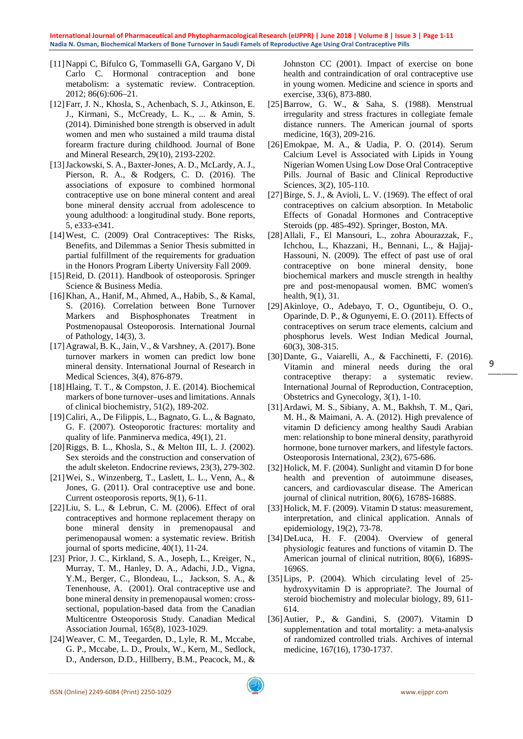- [11]Nappi C, Bifulco G, Tommaselli GA, Gargano V, Di Carlo C. Hormonal contraception and bone metabolism: a systematic review. Contraception. 2012; 86(6):606–21.
- [12]Farr, J. N., Khosla, S., Achenbach, S. J., Atkinson, E. J., Kirmani, S., McCready, L. K., ... & Amin, S. (2014). Diminished bone strength is observed in adult women and men who sustained a mild trauma distal forearm fracture during childhood. Journal of Bone and Mineral Research, 29(10), 2193-2202.
- [13]Jackowski, S. A., Baxter-Jones, A. D., McLardy, A. J., Pierson, R. A., & Rodgers, C. D. (2016). The associations of exposure to combined hormonal contraceptive use on bone mineral content and areal bone mineral density accrual from adolescence to young adulthood: a longitudinal study. Bone reports, 5, e333-e341.
- [14] West, C. (2009) Oral Contraceptives: The Risks, Benefits, and Dilemmas a Senior Thesis submitted in partial fulfillment of the requirements for graduation in the Honors Program Liberty University Fall 2009.
- [15]Reid, D. (2011). Handbook of osteoporosis. Springer Science & Business Media.
- [16]Khan, A., Hanif, M., Ahmed, A., Habib, S., & Kamal, S. (2016). Correlation between Bone Turnover Markers and Bisphosphonates Treatment in Postmenopausal Osteoporosis. International Journal of Pathology, 14(3), 3.
- [17]Agrawal, B. K., Jain, V., & Varshney, A. (2017). Bone turnover markers in women can predict low bone mineral density. International Journal of Research in Medical Sciences, 3(4), 876-879.
- [18]Hlaing, T. T., & Compston, J. E. (2014). Biochemical markers of bone turnover–uses and limitations. Annals of clinical biochemistry, 51(2), 189-202.
- [19]Caliri, A., De Filippis, L., Bagnato, G. L., & Bagnato, G. F. (2007). Osteoporotic fractures: mortality and quality of life. Panminerva medica, 49(1), 21.
- [20]Riggs, B. L., Khosla, S., & Melton III, L. J. (2002). Sex steroids and the construction and conservation of the adult skeleton. Endocrine reviews, 23(3), 279-302.
- [21]Wei, S., Winzenberg, T., Laslett, L. L., Venn, A., & Jones, G. (2011). Oral contraceptive use and bone. Current osteoporosis reports, 9(1), 6-11.
- [22]Liu, S. L., & Lebrun, C. M. (2006). Effect of oral contraceptives and hormone replacement therapy on bone mineral density in premenopausal and perimenopausal women: a systematic review. British journal of sports medicine, 40(1), 11-24.
- [23] Prior, J. C., Kirkland, S. A., Joseph, L., Kreiger, N., Murray, T. M., Hanley, D. A., Adachi, J.D., Vigna, Y.M., Berger, C., Blondeau, L., Jackson, S. A., & Tenenhouse, A. (2001). Oral contraceptive use and bone mineral density in premenopausal women: crosssectional, population-based data from the Canadian Multicentre Osteoporosis Study. Canadian Medical Association Journal, 165(8), 1023-1029.
- [24]Weaver, C. M., Teegarden, D., Lyle, R. M., Mccabe, G. P., Mccabe, L. D., Proulx, W., Kern, M., Sedlock, D., Anderson, D.D., Hillberry, B.M., Peacock, M., &

Johnston CC (2001). Impact of exercise on bone health and contraindication of oral contraceptive use in young women. Medicine and science in sports and exercise, 33(6), 873-880.

- [25]Barrow, G. W., & Saha, S. (1988). Menstrual irregularity and stress fractures in collegiate female distance runners. The American journal of sports medicine, 16(3), 209-216.
- [26]Emokpae, M. A., & Uadia, P. O. (2014). Serum Calcium Level is Associated with Lipids in Young Nigerian Women Using Low Dose Oral Contraceptive Pills. Journal of Basic and Clinical Reproductive Sciences, 3(2), 105-110.
- [27]Birge, S. J., & Avioli, L. V. (1969). The effect of oral contraceptives on calcium absorption. In Metabolic Effects of Gonadal Hormones and Contraceptive Steroids (pp. 485-492). Springer, Boston, MA.
- [28]Allali, F., El Mansouri, L., zohra Abourazzak, F., Ichchou, L., Khazzani, H., Bennani, L., & Hajjaj-Hassouni, N. (2009). The effect of past use of oral contraceptive on bone mineral density, bone biochemical markers and muscle strength in healthy pre and post-menopausal women. BMC women's health, 9(1), 31.
- [29]Akinloye, O., Adebayo, T. O., Oguntibeju, O. O., Oparinde, D. P., & Ogunyemi, E. O. (2011). Effects of contraceptives on serum trace elements, calcium and phosphorus levels. West Indian Medical Journal, 60(3), 308-315.
- [30]Dante, G., Vaiarelli, A., & Facchinetti, F. (2016). Vitamin and mineral needs during the oral contraceptive therapy: a systematic review. International Journal of Reproduction, Contraception, Obstetrics and Gynecology, 3(1), 1-10.

9

- [31]Ardawi, M. S., Sibiany, A. M., Bakhsh, T. M., Qari, M. H., & Maimani, A. A. (2012). High prevalence of vitamin D deficiency among healthy Saudi Arabian men: relationship to bone mineral density, parathyroid hormone, bone turnover markers, and lifestyle factors. Osteoporosis International, 23(2), 675-686.
- [32] Holick, M. F. (2004). Sunlight and vitamin D for bone health and prevention of autoimmune diseases, cancers, and cardiovascular disease. The American journal of clinical nutrition, 80(6), 1678S-1688S.
- [33] Holick, M. F. (2009). Vitamin D status: measurement, interpretation, and clinical application. Annals of epidemiology, 19(2), 73-78.
- [34]DeLuca, H. F. (2004). Overview of general physiologic features and functions of vitamin D. The American journal of clinical nutrition, 80(6), 1689S-1696S.
- [35]Lips, P. (2004). Which circulating level of 25 hydroxyvitamin D is appropriate?. The Journal of steroid biochemistry and molecular biology, 89, 611- 614.
- [36]Autier, P., & Gandini, S. (2007). Vitamin D supplementation and total mortality: a meta-analysis of randomized controlled trials. Archives of internal medicine, 167(16), 1730-1737.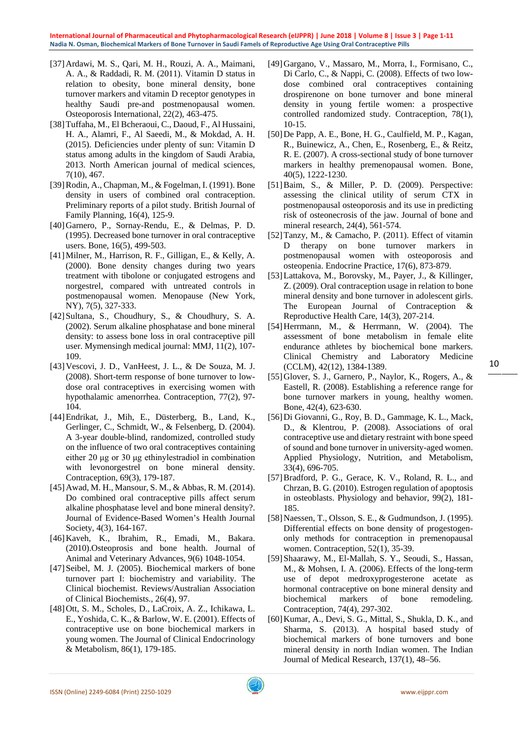- [37]Ardawi, M. S., Qari, M. H., Rouzi, A. A., Maimani, A. A., & Raddadi, R. M. (2011). Vitamin D status in relation to obesity, bone mineral density, bone turnover markers and vitamin D receptor genotypes in healthy Saudi pre-and postmenopausal women. Osteoporosis International, 22(2), 463-475.
- [38]Tuffaha, M., El Bcheraoui, C., Daoud, F., Al Hussaini, H. A., Alamri, F., Al Saeedi, M., & Mokdad, A. H. (2015). Deficiencies under plenty of sun: Vitamin D status among adults in the kingdom of Saudi Arabia, 2013. North American journal of medical sciences, 7(10), 467.
- [39] Rodin, A., Chapman, M., & Fogelman, I. (1991). Bone density in users of combined oral contraception. Preliminary reports of a pilot study. British Journal of Family Planning, 16(4), 125-9.
- [40]Garnero, P., Sornay-Rendu, E., & Delmas, P. D. (1995). Decreased bone turnover in oral contraceptive users. Bone, 16(5), 499-503.
- [41]Milner, M., Harrison, R. F., Gilligan, E., & Kelly, A. (2000). Bone density changes during two years treatment with tibolone or conjugated estrogens and norgestrel, compared with untreated controls in postmenopausal women. Menopause (New York, NY), 7(5), 327-333.
- [42] Sultana, S., Choudhury, S., & Choudhury, S. A. (2002). Serum alkaline phosphatase and bone mineral density: to assess bone loss in oral contraceptive pill user. Mymensingh medical journal: MMJ, 11(2), 107- 109.
- [43]Vescovi, J. D., VanHeest, J. L., & De Souza, M. J. (2008). Short-term response of bone turnover to lowdose oral contraceptives in exercising women with hypothalamic amenorrhea. Contraception, 77(2), 97- 104.
- [44]Endrikat, J., Mih, E., Düsterberg, B., Land, K., Gerlinger, C., Schmidt, W., & Felsenberg, D. (2004). A 3-year double-blind, randomized, controlled study on the influence of two oral contraceptives containing either 20 μg or 30 μg ethinylestradiol in combination with levonorgestrel on bone mineral density. Contraception, 69(3), 179-187.
- [45]Awad, M. H., Mansour, S. M., & Abbas, R. M. (2014). Do combined oral contraceptive pills affect serum alkaline phosphatase level and bone mineral density?. Journal of Evidence-Based Women's Health Journal Society, 4(3), 164-167.
- [46]Kaveh, K., Ibrahim, R., Emadi, M., Bakara. (2010).Osteoprosis and bone health. Journal of Animal and Veterinary Advances, 9(6) 1048-1054.
- [47] Seibel, M. J. (2005). Biochemical markers of bone turnover part I: biochemistry and variability. The Clinical biochemist. Reviews/Australian Association of Clinical Biochemists., 26(4), 97.
- [48]Ott, S. M., Scholes, D., LaCroix, A. Z., Ichikawa, L. E., Yoshida, C. K., & Barlow, W. E. (2001). Effects of contraceptive use on bone biochemical markers in young women. The Journal of Clinical Endocrinology & Metabolism, 86(1), 179-185.
- [49]Gargano, V., Massaro, M., Morra, I., Formisano, C., Di Carlo, C., & Nappi, C. (2008). Effects of two lowdose combined oral contraceptives containing drospirenone on bone turnover and bone mineral density in young fertile women: a prospective controlled randomized study. Contraception, 78(1), 10-15.
- [50]De Papp, A. E., Bone, H. G., Caulfield, M. P., Kagan, R., Buinewicz, A., Chen, E., Rosenberg, E., & Reitz, R. E. (2007). A cross-sectional study of bone turnover markers in healthy premenopausal women. Bone, 40(5), 1222-1230.
- [51]Baim, S., & Miller, P. D. (2009). Perspective: assessing the clinical utility of serum CTX in postmenopausal osteoporosis and its use in predicting risk of osteonecrosis of the jaw. Journal of bone and mineral research, 24(4), 561-574.
- [52]Tanzy, M., & Camacho, P. (2011). Effect of vitamin D therapy on bone turnover markers in postmenopausal women with osteoporosis and osteopenia. Endocrine Practice, 17(6), 873-879.
- [53]Lattakova, M., Borovsky, M., Payer, J., & Killinger, Z. (2009). Oral contraception usage in relation to bone mineral density and bone turnover in adolescent girls. The European Journal of Contraception & Reproductive Health Care, 14(3), 207-214.
- [54]Herrmann, M., & Herrmann, W. (2004). The assessment of bone metabolism in female elite endurance athletes by biochemical bone markers. Clinical Chemistry and Laboratory Medicine (CCLM), 42(12), 1384-1389.
- [55]Glover, S. J., Garnero, P., Naylor, K., Rogers, A., & Eastell, R. (2008). Establishing a reference range for bone turnover markers in young, healthy women. Bone, 42(4), 623-630.
- [56]Di Giovanni, G., Roy, B. D., Gammage, K. L., Mack, D., & Klentrou, P. (2008). Associations of oral contraceptive use and dietary restraint with bone speed of sound and bone turnover in university-aged women. Applied Physiology, Nutrition, and Metabolism, 33(4), 696-705.
- [57]Bradford, P. G., Gerace, K. V., Roland, R. L., and Chrzan, B. G. (2010). Estrogen regulation of apoptosis in osteoblasts. Physiology and behavior, 99(2), 181- 185.
- [58]Naessen, T., Olsson, S. E., & Gudmundson, J. (1995). Differential effects on bone density of progestogenonly methods for contraception in premenopausal women. Contraception, 52(1), 35-39.
- [59]Shaarawy, M., El-Mallah, S. Y., Seoudi, S., Hassan, M., & Mohsen, I. A. (2006). Effects of the long-term use of depot medroxyprogesterone acetate as hormonal contraceptive on bone mineral density and biochemical markers of bone remodeling. Contraception, 74(4), 297-302.
- [60] Kumar, A., Devi, S. G., Mittal, S., Shukla, D. K., and Sharma, S. (2013). A hospital based study of biochemical markers of bone turnovers and bone mineral density in north Indian women. The Indian Journal of Medical Research, 137(1), 48–56.